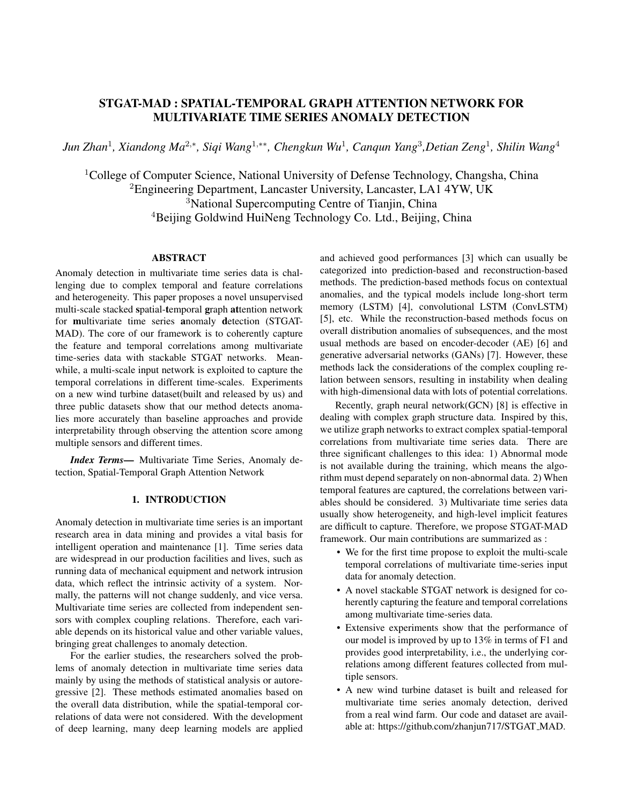## STGAT-MAD : SPATIAL-TEMPORAL GRAPH ATTENTION NETWORK FOR MULTIVARIATE TIME SERIES ANOMALY DETECTION

*Jun Zhan*<sup>1</sup> *, Xiandong Ma*<sup>2</sup>,<sup>∗</sup> *, Siqi Wang*<sup>1</sup>,∗∗*, Chengkun Wu*<sup>1</sup> *, Canqun Yang*<sup>3</sup> *,Detian Zeng*<sup>1</sup> *, Shilin Wang*<sup>4</sup>

<sup>1</sup>College of Computer Science, National University of Defense Technology, Changsha, China <sup>2</sup>Engineering Department, Lancaster University, Lancaster, LA1 4YW, UK <sup>3</sup>National Supercomputing Centre of Tianjin, China <sup>4</sup>Beijing Goldwind HuiNeng Technology Co. Ltd., Beijing, China

## ABSTRACT

Anomaly detection in multivariate time series data is challenging due to complex temporal and feature correlations and heterogeneity. This paper proposes a novel unsupervised multi-scale stacked spatial-temporal graph attention network for multivariate time series anomaly detection (STGAT-MAD). The core of our framework is to coherently capture the feature and temporal correlations among multivariate time-series data with stackable STGAT networks. Meanwhile, a multi-scale input network is exploited to capture the temporal correlations in different time-scales. Experiments on a new wind turbine dataset(built and released by us) and three public datasets show that our method detects anomalies more accurately than baseline approaches and provide interpretability through observing the attention score among multiple sensors and different times.

*Index Terms*— Multivariate Time Series, Anomaly detection, Spatial-Temporal Graph Attention Network

### 1. INTRODUCTION

Anomaly detection in multivariate time series is an important research area in data mining and provides a vital basis for intelligent operation and maintenance [1]. Time series data are widespread in our production facilities and lives, such as running data of mechanical equipment and network intrusion data, which reflect the intrinsic activity of a system. Normally, the patterns will not change suddenly, and vice versa. Multivariate time series are collected from independent sensors with complex coupling relations. Therefore, each variable depends on its historical value and other variable values, bringing great challenges to anomaly detection.

For the earlier studies, the researchers solved the problems of anomaly detection in multivariate time series data mainly by using the methods of statistical analysis or autoregressive [2]. These methods estimated anomalies based on the overall data distribution, while the spatial-temporal correlations of data were not considered. With the development of deep learning, many deep learning models are applied and achieved good performances [3] which can usually be categorized into prediction-based and reconstruction-based methods. The prediction-based methods focus on contextual anomalies, and the typical models include long-short term memory (LSTM) [4], convolutional LSTM (ConvLSTM) [5], etc. While the reconstruction-based methods focus on overall distribution anomalies of subsequences, and the most usual methods are based on encoder-decoder (AE) [6] and generative adversarial networks (GANs) [7]. However, these methods lack the considerations of the complex coupling relation between sensors, resulting in instability when dealing with high-dimensional data with lots of potential correlations.

Recently, graph neural network(GCN) [8] is effective in dealing with complex graph structure data. Inspired by this, we utilize graph networks to extract complex spatial-temporal correlations from multivariate time series data. There are three significant challenges to this idea: 1) Abnormal mode is not available during the training, which means the algorithm must depend separately on non-abnormal data. 2) When temporal features are captured, the correlations between variables should be considered. 3) Multivariate time series data usually show heterogeneity, and high-level implicit features are difficult to capture. Therefore, we propose STGAT-MAD framework. Our main contributions are summarized as :

- We for the first time propose to exploit the multi-scale temporal correlations of multivariate time-series input data for anomaly detection.
- A novel stackable STGAT network is designed for coherently capturing the feature and temporal correlations among multivariate time-series data.
- Extensive experiments show that the performance of our model is improved by up to 13% in terms of F1 and provides good interpretability, i.e., the underlying correlations among different features collected from multiple sensors.
- A new wind turbine dataset is built and released for multivariate time series anomaly detection, derived from a real wind farm. Our code and dataset are available at: https://github.com/zhanjun717/STGAT MAD.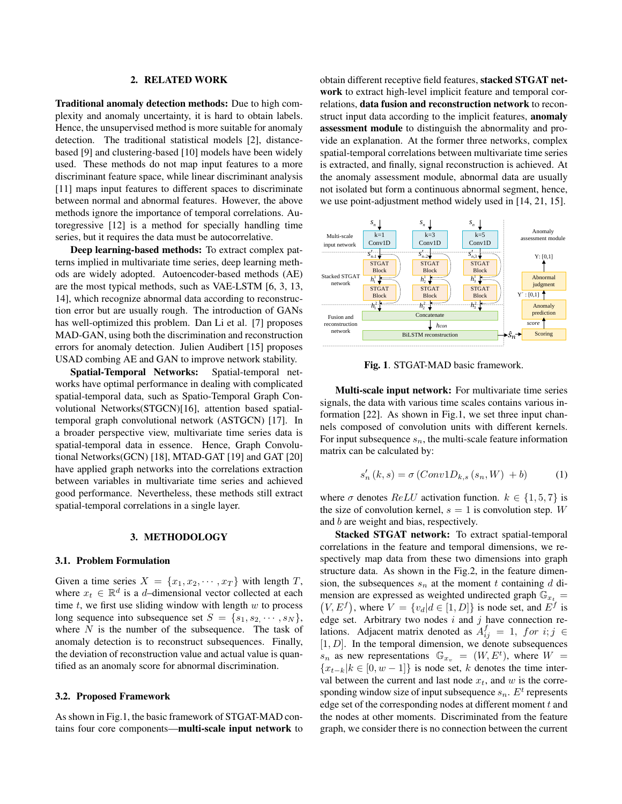### 2. RELATED WORK

Traditional anomaly detection methods: Due to high complexity and anomaly uncertainty, it is hard to obtain labels. Hence, the unsupervised method is more suitable for anomaly detection. The traditional statistical models [2], distancebased [9] and clustering-based [10] models have been widely used. These methods do not map input features to a more discriminant feature space, while linear discriminant analysis [11] maps input features to different spaces to discriminate between normal and abnormal features. However, the above methods ignore the importance of temporal correlations. Autoregressive [12] is a method for specially handling time series, but it requires the data must be autocorrelative.

Deep learning-based methods: To extract complex patterns implied in multivariate time series, deep learning methods are widely adopted. Autoencoder-based methods (AE) are the most typical methods, such as VAE-LSTM [6, 3, 13, 14], which recognize abnormal data according to reconstruction error but are usually rough. The introduction of GANs has well-optimized this problem. Dan Li et al. [7] proposes MAD-GAN, using both the discrimination and reconstruction errors for anomaly detection. Julien Audibert [15] proposes USAD combing AE and GAN to improve network stability.

Spatial-Temporal Networks: Spatial-temporal networks have optimal performance in dealing with complicated spatial-temporal data, such as Spatio-Temporal Graph Convolutional Networks(STGCN)[16], attention based spatialtemporal graph convolutional network (ASTGCN) [17]. In a broader perspective view, multivariate time series data is spatial-temporal data in essence. Hence, Graph Convolutional Networks(GCN) [18], MTAD-GAT [19] and GAT [20] have applied graph networks into the correlations extraction between variables in multivariate time series and achieved good performance. Nevertheless, these methods still extract spatial-temporal correlations in a single layer.

## 3. METHODOLOGY

#### 3.1. Problem Formulation

Given a time series  $X = \{x_1, x_2, \dots, x_T\}$  with length T, where  $x_t \in \mathbb{R}^d$  is a d-dimensional vector collected at each time  $t$ , we first use sliding window with length  $w$  to process long sequence into subsequence set  $S = \{s_1, s_2, \dots, s_N\},\$ where  $N$  is the number of the subsequence. The task of anomaly detection is to reconstruct subsequences. Finally, the deviation of reconstruction value and actual value is quantified as an anomaly score for abnormal discrimination.

## 3.2. Proposed Framework

As shown in Fig.1, the basic framework of STGAT-MAD contains four core components—multi-scale input network to obtain different receptive field features, stacked STGAT network to extract high-level implicit feature and temporal correlations, data fusion and reconstruction network to reconstruct input data according to the implicit features, anomaly assessment module to distinguish the abnormality and provide an explanation. At the former three networks, complex spatial-temporal correlations between multivariate time series is extracted, and finally, signal reconstruction is achieved. At the anomaly assessment module, abnormal data are usually not isolated but form a continuous abnormal segment, hence, we use point-adjustment method widely used in [14, 21, 15].



Fig. 1. STGAT-MAD basic framework.

Multi-scale input network: For multivariate time series signals, the data with various time scales contains various information [22]. As shown in Fig.1, we set three input channels composed of convolution units with different kernels. For input subsequence  $s_n$ , the multi-scale feature information matrix can be calculated by:

$$
s'_{n}(k, s) = \sigma (Conv1D_{k,s}(s_{n}, W) + b)
$$
 (1)

where  $\sigma$  denotes  $ReLU$  activation function.  $k \in \{1, 5, 7\}$  is the size of convolution kernel,  $s = 1$  is convolution step. W and b are weight and bias, respectively.

Stacked STGAT network: To extract spatial-temporal correlations in the feature and temporal dimensions, we respectively map data from these two dimensions into graph structure data. As shown in the Fig.2, in the feature dimension, the subsequences  $s_n$  at the moment t containing d dimension are expressed as weighted undirected graph  $\mathbb{G}_{x_t}$  =  $V, E^f$ , where  $V = \{v_d | d \in [1, D]\}$  is node set, and  $E^f$  is edge set. Arbitrary two nodes  $i$  and  $j$  have connection relations. Adjacent matrix denoted as  $A_{ij}^f = 1$ , for  $i, j \in$  $[1, D]$ . In the temporal dimension, we denote subsequences  $s_n$  as new representations  $\mathbb{G}_{x_v} = (W, E^t)$ , where  $W =$  ${x_{t-k}|k \in [0, w-1]}$  is node set, k denotes the time interval between the current and last node  $x_t$ , and w is the corresponding window size of input subsequence  $s_n$ .  $E^t$  represents edge set of the corresponding nodes at different moment  $t$  and the nodes at other moments. Discriminated from the feature graph, we consider there is no connection between the current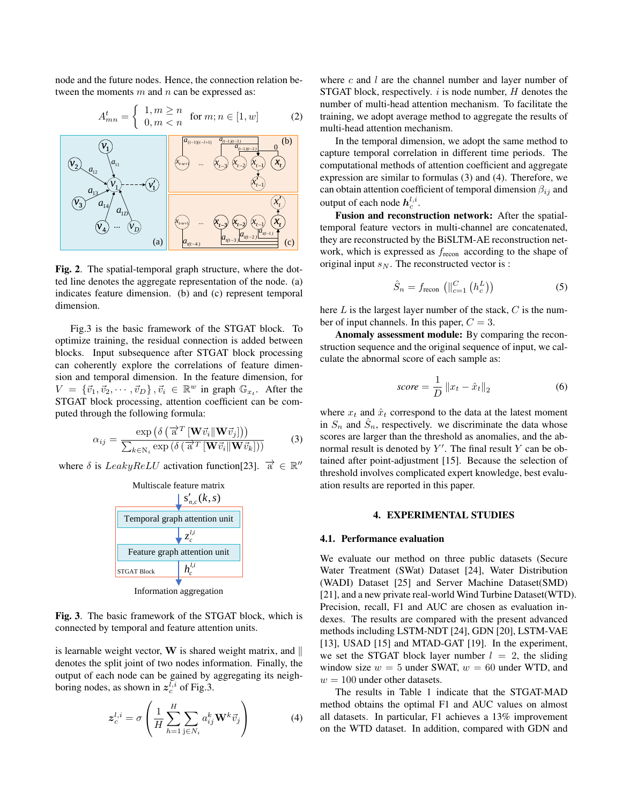node and the future nodes. Hence, the connection relation between the moments  $m$  and  $n$  can be expressed as:

$$
A_{mn}^t = \begin{cases} 1, m \ge n \\ 0, m < n \end{cases} \quad \text{for } m; n \in [1, w] \tag{2}
$$



Fig. 2. The spatial-temporal graph structure, where the dotted line denotes the aggregate representation of the node. (a) indicates feature dimension. (b) and (c) represent temporal dimension.

Fig.3 is the basic framework of the STGAT block. To optimize training, the residual connection is added between blocks. Input subsequence after STGAT block processing can coherently explore the correlations of feature dimension and temporal dimension. In the feature dimension, for  $V = \{\vec{v}_1, \vec{v}_2, \cdots, \vec{v}_D\}, \vec{v}_i \in \mathbb{R}^w$  in graph  $\mathbb{G}_{x_t}$ . After the STGAT block processing, attention coefficient can be computed through the following formula:

$$
\alpha_{ij} = \frac{\exp\left(\delta\left(\overrightarrow{\mathbf{a}}^{T}\left[\mathbf{W}\vec{v}_{i}\|\mathbf{W}\vec{v}_{j}\right]\right)\right)}{\sum_{k \in \mathbb{N}_{i}} \exp\left(\delta\left(\overrightarrow{\mathbf{a}}^{T}\left[\mathbf{W}\vec{v}_{i}\|\mathbf{W}\vec{v}_{k}\right]\right)\right)}
$$
(3)

where  $\delta$  is  $LeakyReLU$  activation function[23].  $\vec{a} \in \mathbb{R}^n$ 



Information aggregation

Fig. 3. The basic framework of the STGAT block, which is connected by temporal and feature attention units.

is learnable weight vector,  $W$  is shared weight matrix, and  $\parallel$ denotes the split joint of two nodes information. Finally, the output of each node can be gained by aggregating its neighboring nodes, as shown in  $z_c^{l,i}$  of Fig.3.

$$
\mathbf{z}_c^{l,i} = \sigma \left( \frac{1}{H} \sum_{h=1}^H \sum_{\mathbf{j} \in N_i} a_{ij}^k \mathbf{W}^k \vec{v}_j \right)
$$
(4)

where  $c$  and  $l$  are the channel number and layer number of STGAT block, respectively.  $i$  is node number,  $H$  denotes the number of multi-head attention mechanism. To facilitate the training, we adopt average method to aggregate the results of multi-head attention mechanism.

 $\begin{bmatrix} x_{t_{n+1}} & x_{t_{n+1}} & x_{t_{n+1}} & x_{t_{n+1}} \end{bmatrix}$   $\begin{bmatrix} x_{t_{n+1}} & x_{t_{n+1}} \end{bmatrix}$  computational methods of attention coefficient and aggregate *<sup>a</sup>(t*−<sup>1</sup> *)(t*−<sup>2</sup> *)* 0 capture temporal correlation in different time periods. The  $\overline{x_{t-1}}$  can obtain attention coefficient of temporal dimension  $\beta_{ij}$  and  $\mathbf{x}'_t$  output of each node  $h_c^{l,i}$ . In the temporal dimension, we adopt the same method to expression are similar to formulas (3) and (4). Therefore, we

**t x**<sub>*x*<sub>*x*y<sub>*xx*</sub>+1 *x*<sub>*x*</sub>  $\left(\frac{x}{a}, \frac{y}{a}\right)$  *x***<sub>***x***</sub>**  $\left(\frac{x}{a}, \frac{y}{a}\right)$  **c c**  $\left(\frac{a}{a}, \frac{y}{b}\right)$  **c c**  $\left(\frac{a}{a}, \frac{y}{b}\right)$  **c c**  $\left(\frac{a}{a}, \frac{y}{b}\right)$  **c c**  $\left(\frac{a}{a}, \frac{y}{b}\right)$  **c c**  $\left(\frac{a}{$  $\frac{a_{n-2}}{k}$  (c) they are reconstructed by the BiSLTM-AE reconstruction net-Fusion and reconstruction network: After the spatialwork, which is expressed as  $f_{\text{recon}}$  according to the shape of original input  $s_N$ . The reconstructed vector is :

$$
\hat{S}_n = f_{\text{recon}} \left( \parallel_{c=1}^{C} \left( h_c^L \right) \right) \tag{5}
$$

here  $L$  is the largest layer number of the stack,  $C$  is the number of input channels. In this paper,  $C = 3$ .

Anomaly assessment module: By comparing the reconstruction sequence and the original sequence of input, we calculate the abnormal score of each sample as:

$$
score = \frac{1}{D} \|x_t - \hat{x}_t\|_2
$$
\n(6)

where  $x_t$  and  $\hat{x}_t$  correspond to the data at the latest moment in  $S_n$  and  $\hat{S}_n$ , respectively. we discriminate the data whose scores are larger than the threshold as anomalies, and the abnormal result is denoted by  $Y'$ . The final result Y can be obtained after point-adjustment [15]. Because the selection of threshold involves complicated expert knowledge, best evaluation results are reported in this paper.

## 4. EXPERIMENTAL STUDIES

#### 4.1. Performance evaluation

We evaluate our method on three public datasets (Secure Water Treatment (SWat) Dataset [24], Water Distribution (WADI) Dataset [25] and Server Machine Dataset(SMD) [21], and a new private real-world Wind Turbine Dataset(WTD). Precision, recall, F1 and AUC are chosen as evaluation indexes. The results are compared with the present advanced methods including LSTM-NDT [24], GDN [20], LSTM-VAE [13], USAD [15] and MTAD-GAT [19]. In the experiment, we set the STGAT block layer number  $l = 2$ , the sliding window size  $w = 5$  under SWAT,  $w = 60$  under WTD, and  $w = 100$  under other datasets.

The results in Table 1 indicate that the STGAT-MAD method obtains the optimal F1 and AUC values on almost all datasets. In particular, F1 achieves a 13% improvement on the WTD dataset. In addition, compared with GDN and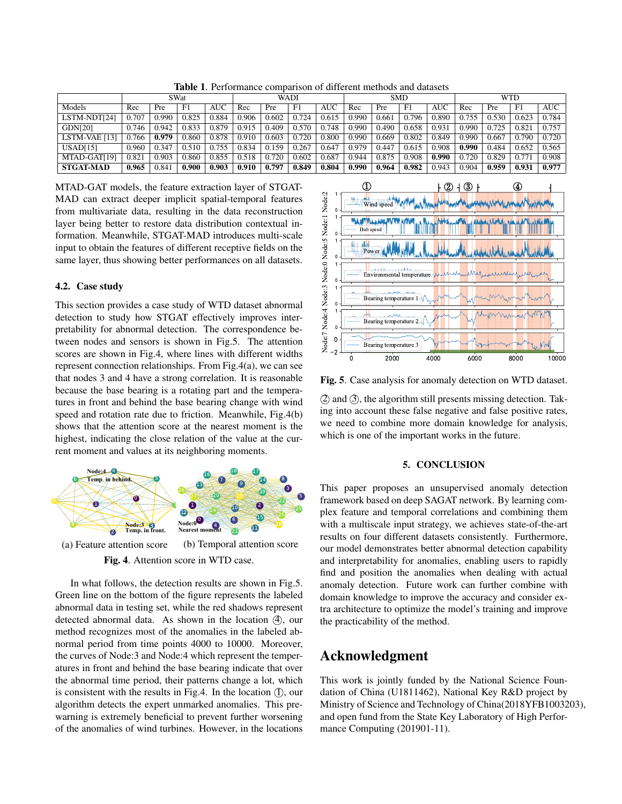|                  | <b>SWat</b> |       |       |       | <b>WADI</b> |       |       |            | <b>SMD</b> |       |       |            | <b>WTD</b> |       |       |       |
|------------------|-------------|-------|-------|-------|-------------|-------|-------|------------|------------|-------|-------|------------|------------|-------|-------|-------|
| Models           | Rec         | Pre   | F1    | AUC   | Rec         | Pre   | F1    | <b>AUC</b> | Rec        | Pre   | F1    | <b>AUC</b> | Rec        | Pre   | F1    | AUC   |
| LSTM-NDT[24]     | 0.707       | 0.990 | 0.825 | 0.884 | 0.906       | 0.602 | 0.724 | 0.615      | 0.990      | 0.66  | 0.796 | 0.890      | 0.755      | 0.53C | 0.623 | 0.784 |
| <b>GDN[20]</b>   | 0.746       | 0.942 | 0.833 | 0.879 | 0.915       | 0.409 | 0.570 | 0.748      | 0.990      | 0.490 | 0.658 | 0.931      | 0.990      | 0.725 | 0.821 | 0.757 |
| LSTM-VAE [13]    | 0.766       | 0.979 | 0.860 | 0.878 | 0.910       | 0.603 | 0.720 | 0.800      | 0.990      | 0.669 | 0.802 | 0.849      | 0.990      | 0.667 | 0.790 | 0.720 |
| USAD[15]         | 0.960       | 0.347 | 0.510 | 0.755 | 0.834       | 0.159 | 0.267 | 0.647      | 0.979      | 0.447 | 0.615 | 0.908      | 0.990      | 0.484 | 0.652 | 0.565 |
| MTAD-GAT[19]     | 0.821       | 0.903 | 0.860 | 0.855 | 0.518       | 0.720 | 0.602 | 0.687      | 0.944      | 0.875 | 0.908 | 0.990      | 0.720      | 0.829 |       | 0.908 |
| <b>STGAT-MAD</b> | 0.965       | 0.841 | 0.900 | 0.903 | 0.910       | 0.797 | 0.849 | 0.804      | 0.990      | 0.964 | 0.982 | 0.943      | 0.904      | 0.959 | 0.931 | 0.977 |

Table 1. Performance comparison of different methods and datasets

MTAD-GAT models, the feature extraction layer of STGAT-MAD can extract deeper implicit spatial-temporal features from multivariate data, resulting in the data reconstruction layer being better to restore data distribution contextual information. Meanwhile, STGAT-MAD introduces multi-scale input to obtain the features of different receptive fields on the same layer, thus showing better performances on all datasets.

#### 4.2. Case study

This section provides a case study of WTD dataset abnormal detection to study how STGAT effectively improves interpretability for abnormal detection. The correspondence between nodes and sensors is shown in Fig.5. The attention scores are shown in Fig.4, where lines with different widths represent connection relationships. From Fig.4(a), we can see that nodes 3 and 4 have a strong correlation. It is reasonable because the base bearing is a rotating part and the temperatures in front and behind the base bearing change with wind speed and rotation rate due to friction. Meanwhile, Fig.4(b) shows that the attention score at the nearest moment is the highest, indicating the close relation of the value at the current moment and values at its neighboring moments.



(a) Feature attention score (b) Temporal attention score Fig. 4. Attention score in WTD case.

In what follows, the detection results are shown in Fig.5. Green line on the bottom of the figure represents the labeled abnormal data in testing set, while the red shadows represent detected abnormal data. As shown in the location  $(4)$ , our method recognizes most of the anomalies in the labeled abnormal period from time points 4000 to 10000. Moreover, the curves of Node:3 and Node:4 which represent the temperatures in front and behind the base bearing indicate that over the abnormal time period, their patterns change a lot, which is consistent with the results in Fig.4. In the location  $(1)$ , our algorithm detects the expert unmarked anomalies. This prewarning is extremely beneficial to prevent further worsening of the anomalies of wind turbines. However, in the locations



Fig. 5. Case analysis for anomaly detection on WTD dataset.

(2) and (3), the algorithm still presents missing detection. Taking into account these false negative and false positive rates, we need to combine more domain knowledge for analysis, which is one of the important works in the future.

## 5. CONCLUSION

**3** This paper proposes an unsupervised anomaly detection **Framework based on deep SAGAT network. By learning com-Plex feature and temporal correlations and combining them** with a multiscale input strategy, we achieves state-of-the-art results on four different datasets consistently. Furthermore, our model demonstrates better abnormal detection capability and interpretability for anomalies, enabling users to rapidly find and position the anomalies when dealing with actual anomaly detection. Future work can further combine with domain knowledge to improve the accuracy and consider extra architecture to optimize the model's training and improve the practicability of the method.

# Acknowledgment

This work is jointly funded by the National Science Foundation of China (U1811462), National Key R&D project by Ministry of Science and Technology of China(2018YFB1003203), and open fund from the State Key Laboratory of High Performance Computing (201901-11).